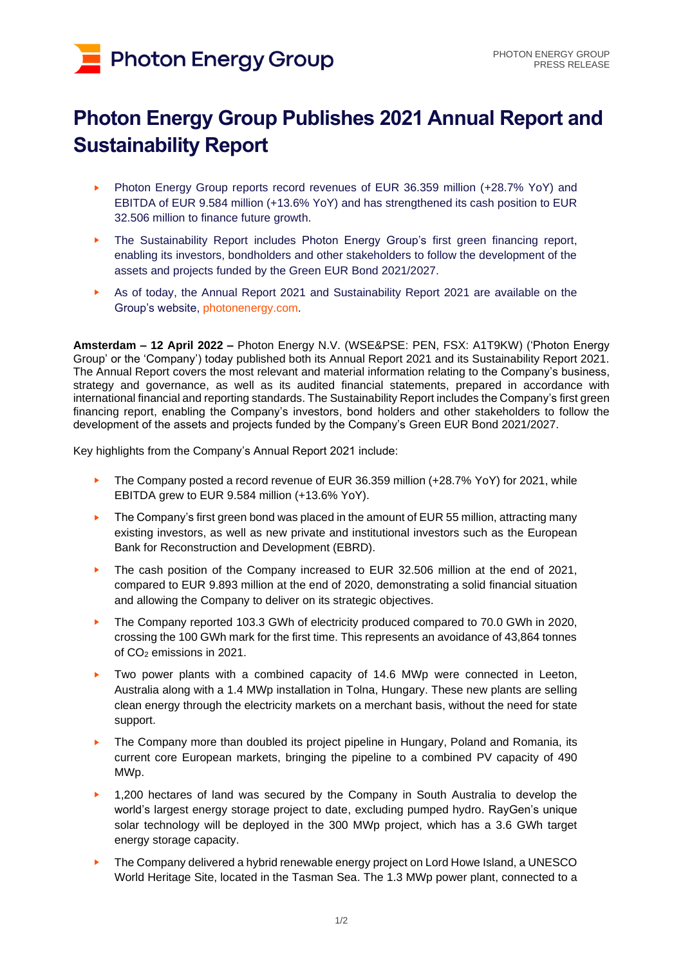# **Photon Energy Group**

## **Photon Energy Group Publishes 2021 Annual Report and Sustainability Report**

- ► Photon Energy Group reports record revenues of EUR 36.359 million (+28.7% YoY) and EBITDA of EUR 9.584 million (+13.6% YoY) and has strengthened its cash position to EUR 32.506 million to finance future growth.
- ► The Sustainability Report includes Photon Energy Group's first green financing report, enabling its investors, bondholders and other stakeholders to follow the development of the assets and projects funded by the Green EUR Bond 2021/2027.
- As of today, the Annual Report 2021 and Sustainability Report 2021 are available on the Group's website, [photonenergy.com.](https://www.photonenergy.com/en/investor-relations.html)

**Amsterdam – 12 April 2022 –** Photon Energy N.V. (WSE&PSE: PEN, FSX: A1T9KW) ('Photon Energy Group' or the 'Company') today published both its Annual Report 2021 and its Sustainability Report 2021. The Annual Report covers the most relevant and material information relating to the Company's business, strategy and governance, as well as its audited financial statements, prepared in accordance with international financial and reporting standards. The Sustainability Report includes the Company's first green financing report, enabling the Company's investors, bond holders and other stakeholders to follow the development of the assets and projects funded by the Company's Green EUR Bond 2021/2027.

Key highlights from the Company's Annual Report 2021 include:

- The Company posted a record revenue of EUR 36.359 million (+28.7% YoY) for 2021, while EBITDA grew to EUR 9.584 million (+13.6% YoY).
- ► The Company's first green bond was placed in the amount of EUR 55 million, attracting many existing investors, as well as new private and institutional investors such as the European Bank for Reconstruction and Development (EBRD).
- The cash position of the Company increased to EUR 32.506 million at the end of 2021, compared to EUR 9.893 million at the end of 2020, demonstrating a solid financial situation and allowing the Company to deliver on its strategic objectives.
- ► The Company reported 103.3 GWh of electricity produced compared to 70.0 GWh in 2020, crossing the 100 GWh mark for the first time. This represents an avoidance of 43,864 tonnes of CO<sup>2</sup> emissions in 2021.
- ► Two power plants with a combined capacity of 14.6 MWp were connected in Leeton, Australia along with a 1.4 MWp installation in Tolna, Hungary. These new plants are selling clean energy through the electricity markets on a merchant basis, without the need for state support.
- ► The Company more than doubled its project pipeline in Hungary, Poland and Romania, its current core European markets, bringing the pipeline to a combined PV capacity of 490 MWp.
- ► 1,200 hectares of land was secured by the Company in South Australia to develop the world's largest energy storage project to date, excluding pumped hydro. RayGen's unique solar technology will be deployed in the 300 MWp project, which has a 3.6 GWh target energy storage capacity.
- ► The Company delivered a hybrid renewable energy project on Lord Howe Island, a UNESCO World Heritage Site, located in the Tasman Sea. The 1.3 MWp power plant, connected to a